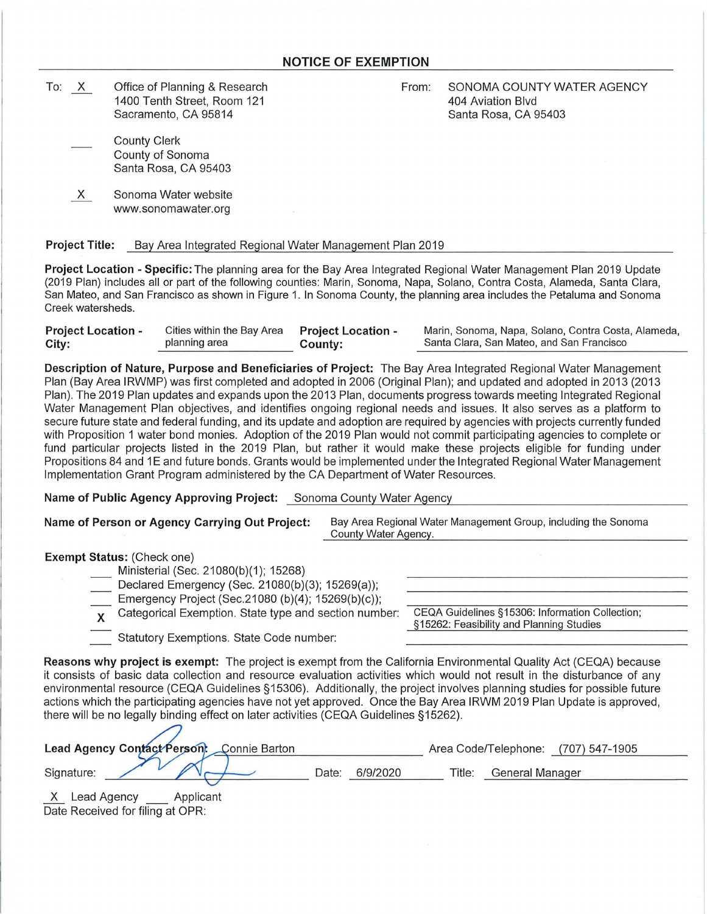To: X Office of Planning & Research 1400 Tenth Street, Room 121 Sacramento, CA 95814

From: SONOMA COUNTY WATER AGENCY 404 Aviation Blvd Santa Rosa, CA 95403

- County Clerk County of Sonoma Santa Rosa, CA 95403
- X Sonoma Water website www.sonomawater.org

## **Project Title:** Bay Area Integrated Regional Water Management Plan 2019

**Project Location - Specific:** The planning area for the Bay Area Integrated Regional Water Management Plan 2019 Update (2019 Plan) includes all or part of the following counties: Marin, Sonoma, Napa, Solano, Contra Costa, Alameda, Santa Clara, San Mateo, and San Francisco as shown in Figure 1. In Sonoma County, the planning area includes the Petaluma and Sonoma Creek watersheds.

| <b>Project Location -</b> | Cities within the Bay Area Project Location - | County: | Marin, Sonoma, Napa, Solano, Contra Costa, Alameda, |  |  |
|---------------------------|-----------------------------------------------|---------|-----------------------------------------------------|--|--|
| City:                     | planning area                                 |         | Santa Clara, San Mateo, and San Francisco           |  |  |
|                           |                                               |         |                                                     |  |  |

**Description of Nature, Purpose and Beneficiaries of Project:** The Bay Area Integrated Regional Water Management Plan (Bay Area IRWMP) was first completed and adopted in 2006 (Original Plan); and updated and adopted in 2013 (2013 Plan). The 2019 Plan updates and expands upon the 2013 Plan, documents progress towards meeting Integrated Regional Water Management Plan objectives, and identifies ongoing regional needs and issues. It also serves as a platform to secure future state and federal funding, and its update and adoption are required by agencies with projects currently funded with Proposition 1 water bond monies. Adoption of the 2019 Plan would not commit participating agencies to complete or fund particular projects listed in the 2019 Plan, but rather it would make these projects eligible for funding under Propositions 84 and 1E and future bonds. Grants would be implemented under the Integrated Regional Water Management Implementation Grant Program administered by the CA Department of Water Resources.

**Name of Public Agency Approving Project:** Sonoma County Water Agency

| Name of Person or Agency Carrying Out Project: | Bay Area Regional Water Management Group, including the Sonoma |  |  |
|------------------------------------------------|----------------------------------------------------------------|--|--|
|                                                | County Water Agency.                                           |  |  |

**Exempt Status:** (Check one)

| Ministerial (Sec. 21080(b)(1); 15268)                   |                                           |
|---------------------------------------------------------|-------------------------------------------|
| Declared Emergency (Sec. 21080(b)(3); 15269(a));        |                                           |
| Emergency Project (Sec.21080 (b)(4); 15269(b)(c));      |                                           |
| x Categorical Exemption. State type and section number: | CEQA Guidelines §15306: Information Colle |
|                                                         | §15262: Feasibility and Planning Studies  |

Statutory Exemptions. State Code number:

CEQA Guidelines §15306: Information Collection; §15262: Feasibility and Planning Studies

**Reasons why project is exempt:** The project is exempt from the California Environmental Quality Act (CEQA) because it consists of basic data collection and resource evaluation activities which would not result in the disturbance of any environmental resource (CEQA Guidelines §15306). Additionally, the project involves planning studies for possible future actions which the participating agencies have not yet approved. Once the Bay Area IRWM 2019 Plan Update is approved, there will be no legally binding effect on later activities (CEQA Guidelines §15262).

| Lead Agency Contact Person: Connie Barton | Area Code/Telephone: (707) 547-1905 |          |        |                 |
|-------------------------------------------|-------------------------------------|----------|--------|-----------------|
| Signature:                                | Date:                               | 6/9/2020 | ⊺itle: | General Manager |
| X<br>Lead Agency<br>Applicant             |                                     |          |        |                 |

Date Received for filing at OPR: